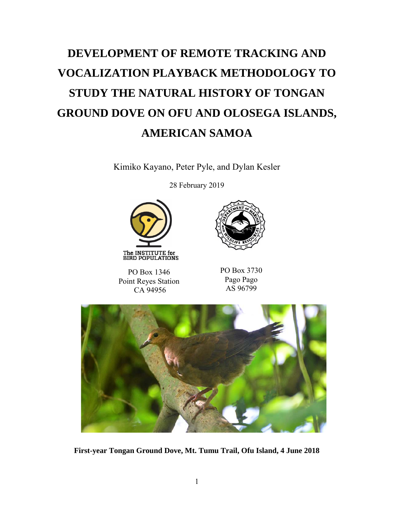# **DEVELOPMENT OF REMOTE TRACKING AND VOCALIZATION PLAYBACK METHODOLOGY TO STUDY THE NATURAL HISTORY OF TONGAN GROUND DOVE ON OFU AND OLOSEGA ISLANDS, AMERICAN SAMOA**

Kimiko Kayano, Peter Pyle, and Dylan Kesler

28 February 2019







PO Box 3730 Pago Pago AS 96799



**First-year Tongan Ground Dove, Mt. Tumu Trail, Ofu Island, 4 June 2018**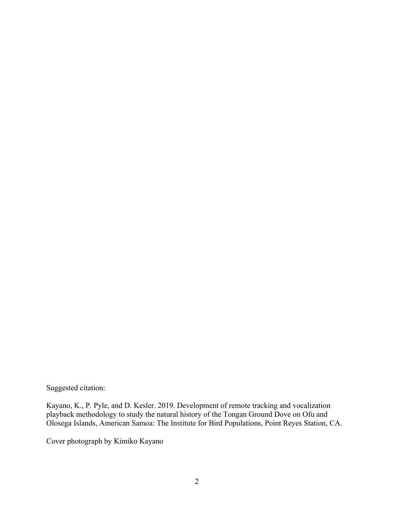Suggested citation:

Kayano, K., P. Pyle, and D. Kesler. 2019. Development of remote tracking and vocalization playback methodology to study the natural history of the Tongan Ground Dove on Ofu and Olosega Islands, American Samoa: The Institute for Bird Populations, Point Reyes Station, CA.

Cover photograph by Kimiko Kayano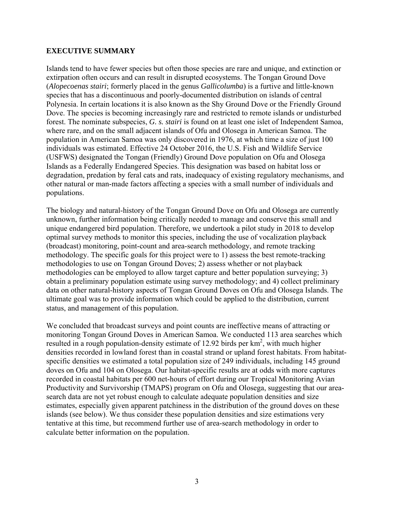#### **EXECUTIVE SUMMARY**

Islands tend to have fewer species but often those species are rare and unique, and extinction or extirpation often occurs and can result in disrupted ecosystems. The Tongan Ground Dove (*Alopecoenas stairi*; formerly placed in the genus *Gallicolumba*) is a furtive and little-known species that has a discontinuous and poorly-documented distribution on islands of central Polynesia. In certain locations it is also known as the Shy Ground Dove or the Friendly Ground Dove. The species is becoming increasingly rare and restricted to remote islands or undisturbed forest. The nominate subspecies, *G. s. stairi* is found on at least one islet of Independent Samoa, where rare, and on the small adjacent islands of Ofu and Olosega in American Samoa. The population in American Samoa was only discovered in 1976, at which time a size of just 100 individuals was estimated. Effective 24 October 2016, the U.S. Fish and Wildlife Service (USFWS) designated the Tongan (Friendly) Ground Dove population on Ofu and Olosega Islands as a Federally Endangered Species. This designation was based on habitat loss or degradation, predation by feral cats and rats, inadequacy of existing regulatory mechanisms, and other natural or man-made factors affecting a species with a small number of individuals and populations.

The biology and natural-history of the Tongan Ground Dove on Ofu and Olosega are currently unknown, further information being critically needed to manage and conserve this small and unique endangered bird population. Therefore, we undertook a pilot study in 2018 to develop optimal survey methods to monitor this species, including the use of vocalization playback (broadcast) monitoring, point-count and area-search methodology, and remote tracking methodology. The specific goals for this project were to 1) assess the best remote-tracking methodologies to use on Tongan Ground Doves; 2) assess whether or not playback methodologies can be employed to allow target capture and better population surveying; 3) obtain a preliminary population estimate using survey methodology; and 4) collect preliminary data on other natural-history aspects of Tongan Ground Doves on Ofu and Olosega Islands. The ultimate goal was to provide information which could be applied to the distribution, current status, and management of this population.

We concluded that broadcast surveys and point counts are ineffective means of attracting or monitoring Tongan Ground Doves in American Samoa. We conducted 113 area searches which resulted in a rough population-density estimate of 12.92 birds per  $km^2$ , with much higher densities recorded in lowland forest than in coastal strand or upland forest habitats. From habitatspecific densities we estimated a total population size of 249 individuals, including 145 ground doves on Ofu and 104 on Olosega. Our habitat-specific results are at odds with more captures recorded in coastal habitats per 600 net-hours of effort during our Tropical Monitoring Avian Productivity and Survivorship (TMAPS) program on Ofu and Olosega, suggesting that our areasearch data are not yet robust enough to calculate adequate population densities and size estimates, especially given apparent patchiness in the distribution of the ground doves on these islands (see below). We thus consider these population densities and size estimations very tentative at this time, but recommend further use of area-search methodology in order to calculate better information on the population.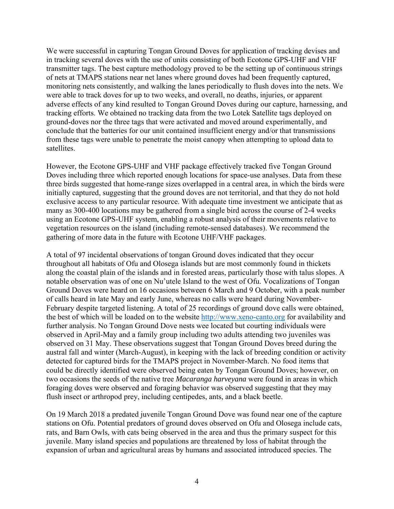We were successful in capturing Tongan Ground Doves for application of tracking devises and in tracking several doves with the use of units consisting of both Ecotone GPS-UHF and VHF transmitter tags. The best capture methodology proved to be the setting up of continuous strings of nets at TMAPS stations near net lanes where ground doves had been frequently captured, monitoring nets consistently, and walking the lanes periodically to flush doves into the nets. We were able to track doves for up to two weeks, and overall, no deaths, injuries, or apparent adverse effects of any kind resulted to Tongan Ground Doves during our capture, harnessing, and tracking efforts. We obtained no tracking data from the two Lotek Satellite tags deployed on ground-doves nor the three tags that were activated and moved around experimentally, and conclude that the batteries for our unit contained insufficient energy and/or that transmissions from these tags were unable to penetrate the moist canopy when attempting to upload data to satellites.

However, the Ecotone GPS-UHF and VHF package effectively tracked five Tongan Ground Doves including three which reported enough locations for space-use analyses. Data from these three birds suggested that home-range sizes overlapped in a central area, in which the birds were initially captured, suggesting that the ground doves are not territorial, and that they do not hold exclusive access to any particular resource. With adequate time investment we anticipate that as many as 300-400 locations may be gathered from a single bird across the course of 2-4 weeks using an Ecotone GPS-UHF system, enabling a robust analysis of their movements relative to vegetation resources on the island (including remote-sensed databases). We recommend the gathering of more data in the future with Ecotone UHF/VHF packages.

A total of 97 incidental observations of tongan Ground doves indicated that they occur throughout all habitats of Ofu and Olosega islands but are most commonly found in thickets along the coastal plain of the islands and in forested areas, particularly those with talus slopes. A notable observation was of one on Nu'utele Island to the west of Ofu. Vocalizations of Tongan Ground Doves were heard on 16 occasions between 6 March and 9 October, with a peak number of calls heard in late May and early June, whereas no calls were heard during November-February despite targeted listening. A total of 25 recordings of ground dove calls were obtained, the best of which will be loaded on to the website http://www.xeno-canto.org for availability and further analysis. No Tongan Ground Dove nests wee located but courting individuals were observed in April-May and a family group including two adults attending two juveniles was observed on 31 May. These observations suggest that Tongan Ground Doves breed during the austral fall and winter (March-August), in keeping with the lack of breeding condition or activity detected for captured birds for the TMAPS project in November-March. No food items that could be directly identified were observed being eaten by Tongan Ground Doves; however, on two occasions the seeds of the native tree *Macaranga harveyana* were found in areas in which foraging doves were observed and foraging behavior was observed suggesting that they may flush insect or arthropod prey, including centipedes, ants, and a black beetle.

On 19 March 2018 a predated juvenile Tongan Ground Dove was found near one of the capture stations on Ofu. Potential predators of ground doves observed on Ofu and Olosega include cats, rats, and Barn Owls, with cats being observed in the area and thus the primary suspect for this juvenile. Many island species and populations are threatened by loss of habitat through the expansion of urban and agricultural areas by humans and associated introduced species. The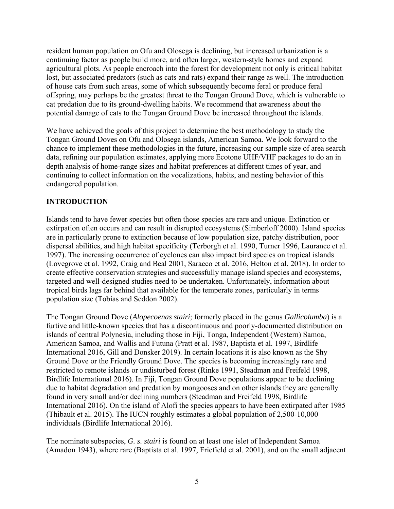resident human population on Ofu and Olosega is declining, but increased urbanization is a continuing factor as people build more, and often larger, western-style homes and expand agricultural plots. As people encroach into the forest for development not only is critical habitat lost, but associated predators (such as cats and rats) expand their range as well. The introduction of house cats from such areas, some of which subsequently become feral or produce feral offspring, may perhaps be the greatest threat to the Tongan Ground Dove, which is vulnerable to cat predation due to its ground-dwelling habits. We recommend that awareness about the potential damage of cats to the Tongan Ground Dove be increased throughout the islands.

We have achieved the goals of this project to determine the best methodology to study the Tongan Ground Doves on Ofu and Olosega islands, American Samoa. We look forward to the chance to implement these methodologies in the future, increasing our sample size of area search data, refining our population estimates, applying more Ecotone UHF/VHF packages to do an in depth analysis of home-range sizes and habitat preferences at different times of year, and continuing to collect information on the vocalizations, habits, and nesting behavior of this endangered population.

# **INTRODUCTION**

Islands tend to have fewer species but often those species are rare and unique. Extinction or extirpation often occurs and can result in disrupted ecosystems (Simberloff 2000). Island species are in particularly prone to extinction because of low population size, patchy distribution, poor dispersal abilities, and high habitat specificity (Terborgh et al. 1990, Turner 1996, Laurance et al. 1997). The increasing occurrence of cyclones can also impact bird species on tropical islands (Lovegrove et al. 1992, Craig and Beal 2001, Saracco et al. 2016, Helton et al. 2018). In order to create effective conservation strategies and successfully manage island species and ecosystems, targeted and well-designed studies need to be undertaken. Unfortunately, information about tropical birds lags far behind that available for the temperate zones, particularly in terms population size (Tobias and Seddon 2002).

The Tongan Ground Dove (*Alopecoenas stairi*; formerly placed in the genus *Gallicolumba*) is a furtive and little-known species that has a discontinuous and poorly-documented distribution on islands of central Polynesia, including those in Fiji, Tonga, Independent (Western) Samoa, American Samoa, and Wallis and Futuna (Pratt et al. 1987, Baptista et al. 1997, Birdlife International 2016, Gill and Donsker 2019). In certain locations it is also known as the Shy Ground Dove or the Friendly Ground Dove. The species is becoming increasingly rare and restricted to remote islands or undisturbed forest (Rinke 1991, Steadman and Freifeld 1998, Birdlife International 2016). In Fiji, Tongan Ground Dove populations appear to be declining due to habitat degradation and predation by mongooses and on other islands they are generally found in very small and/or declining numbers (Steadman and Freifeld 1998, Birdlife International 2016). On the island of Alofi the species appears to have been extirpated after 1985 (Thibault et al. 2015). The IUCN roughly estimates a global population of 2,500-10,000 individuals (Birdlife International 2016).

The nominate subspecies, *G. s. stairi* is found on at least one islet of Independent Samoa (Amadon 1943), where rare (Baptista et al. 1997, Friefield et al. 2001), and on the small adjacent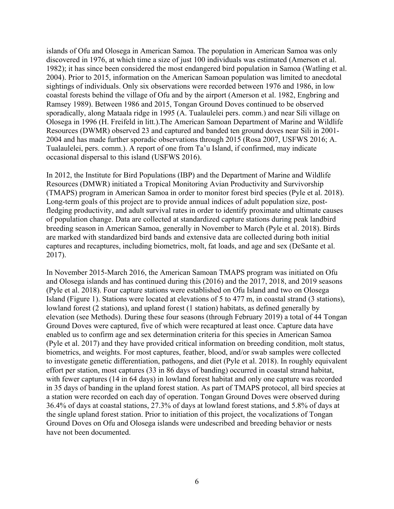islands of Ofu and Olosega in American Samoa. The population in American Samoa was only discovered in 1976, at which time a size of just 100 individuals was estimated (Amerson et al. 1982); it has since been considered the most endangered bird population in Samoa (Watling et al. 2004). Prior to 2015, information on the American Samoan population was limited to anecdotal sightings of individuals. Only six observations were recorded between 1976 and 1986, in low coastal forests behind the village of Ofu and by the airport (Amerson et al. 1982, Engbring and Ramsey 1989). Between 1986 and 2015, Tongan Ground Doves continued to be observed sporadically, along Mataala ridge in 1995 (A. Tualaulelei pers. comm.) and near Sili village on Olosega in 1996 (H. Freifeld in litt.).The American Samoan Department of Marine and Wildlife Resources (DWMR) observed 23 and captured and banded ten ground doves near Sili in 2001- 2004 and has made further sporadic observations through 2015 (Rosa 2007, USFWS 2016; A. Tualaulelei, pers. comm.). A report of one from Ta'u Island, if confirmed, may indicate occasional dispersal to this island (USFWS 2016).

In 2012, the Institute for Bird Populations (IBP) and the Department of Marine and Wildlife Resources (DMWR) initiated a Tropical Monitoring Avian Productivity and Survivorship (TMAPS) program in American Samoa in order to monitor forest bird species (Pyle et al. 2018). Long-term goals of this project are to provide annual indices of adult population size, postfledging productivity, and adult survival rates in order to identify proximate and ultimate causes of population change. Data are collected at standardized capture stations during peak landbird breeding season in American Samoa, generally in November to March (Pyle et al. 2018). Birds are marked with standardized bird bands and extensive data are collected during both initial captures and recaptures, including biometrics, molt, fat loads, and age and sex (DeSante et al. 2017).

In November 2015-March 2016, the American Samoan TMAPS program was initiated on Ofu and Olosega islands and has continued during this (2016) and the 2017, 2018, and 2019 seasons (Pyle et al. 2018). Four capture stations were established on Ofu Island and two on Olosega Island (Figure 1). Stations were located at elevations of 5 to 477 m, in coastal strand (3 stations), lowland forest (2 stations), and upland forest (1 station) habitats, as defined generally by elevation (see Methods). During these four seasons (through February 2019) a total of 44 Tongan Ground Doves were captured, five of which were recaptured at least once. Capture data have enabled us to confirm age and sex determination criteria for this species in American Samoa (Pyle et al. 2017) and they have provided critical information on breeding condition, molt status, biometrics, and weights. For most captures, feather, blood, and/or swab samples were collected to investigate genetic differentiation, pathogens, and diet (Pyle et al. 2018). In roughly equivalent effort per station, most captures (33 in 86 days of banding) occurred in coastal strand habitat, with fewer captures (14 in 64 days) in lowland forest habitat and only one capture was recorded in 35 days of banding in the upland forest station. As part of TMAPS protocol, all bird species at a station were recorded on each day of operation. Tongan Ground Doves were observed during 36.4% of days at coastal stations, 27.3% of days at lowland forest stations, and 5.8% of days at the single upland forest station. Prior to initiation of this project, the vocalizations of Tongan Ground Doves on Ofu and Olosega islands were undescribed and breeding behavior or nests have not been documented.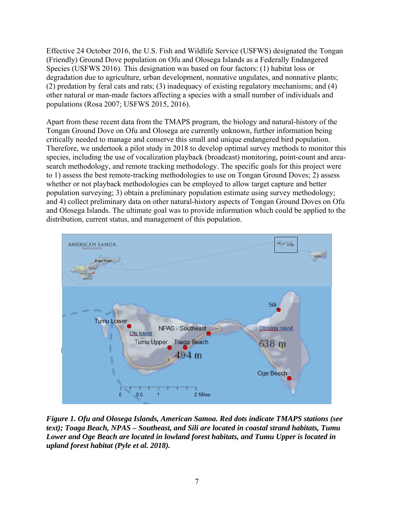Effective 24 October 2016, the U.S. Fish and Wildlife Service (USFWS) designated the Tongan (Friendly) Ground Dove population on Ofu and Olosega Islands as a Federally Endangered Species (USFWS 2016). This designation was based on four factors: (1) habitat loss or degradation due to agriculture, urban development, nonnative ungulates, and nonnative plants; (2) predation by feral cats and rats; (3) inadequacy of existing regulatory mechanisms; and (4) other natural or man-made factors affecting a species with a small number of individuals and populations (Rosa 2007; USFWS 2015, 2016).

Apart from these recent data from the TMAPS program, the biology and natural-history of the Tongan Ground Dove on Ofu and Olosega are currently unknown, further information being critically needed to manage and conserve this small and unique endangered bird population. Therefore, we undertook a pilot study in 2018 to develop optimal survey methods to monitor this species, including the use of vocalization playback (broadcast) monitoring, point-count and areasearch methodology, and remote tracking methodology. The specific goals for this project were to 1) assess the best remote-tracking methodologies to use on Tongan Ground Doves; 2) assess whether or not playback methodologies can be employed to allow target capture and better population surveying; 3) obtain a preliminary population estimate using survey methodology; and 4) collect preliminary data on other natural-history aspects of Tongan Ground Doves on Ofu and Olosega Islands. The ultimate goal was to provide information which could be applied to the distribution, current status, and management of this population.



*Figure 1. Ofu and Olosega Islands, American Samoa. Red dots indicate TMAPS stations (see text); Toaga Beach, NPAS – Southeast, and Sili are located in coastal strand habitats, Tumu Lower and Oge Beach are located in lowland forest habitats, and Tumu Upper is located in upland forest habitat (Pyle et al. 2018).*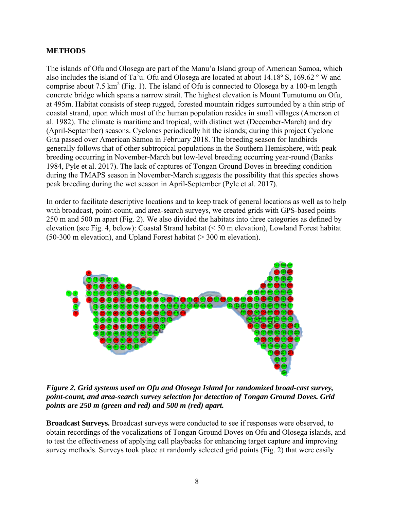### **METHODS**

The islands of Ofu and Olosega are part of the Manu'a Island group of American Samoa, which also includes the island of Ta'u. Ofu and Olosega are located at about 14.18º S, 169.62 º W and comprise about 7.5 km<sup>2</sup> (Fig. 1). The island of Ofu is connected to Olosega by a 100-m length concrete bridge which spans a narrow strait. The highest elevation is Mount Tumutumu on Ofu, at 495m. Habitat consists of steep rugged, forested mountain ridges surrounded by a thin strip of coastal strand, upon which most of the human population resides in small villages (Amerson et al. 1982). The climate is maritime and tropical, with distinct wet (December-March) and dry (April-September) seasons. Cyclones periodically hit the islands; during this project Cyclone Gita passed over American Samoa in February 2018. The breeding season for landbirds generally follows that of other subtropical populations in the Southern Hemisphere, with peak breeding occurring in November-March but low-level breeding occurring year-round (Banks 1984, Pyle et al. 2017). The lack of captures of Tongan Ground Doves in breeding condition during the TMAPS season in November-March suggests the possibility that this species shows peak breeding during the wet season in April-September (Pyle et al. 2017).

In order to facilitate descriptive locations and to keep track of general locations as well as to help with broadcast, point-count, and area-search surveys, we created grids with GPS-based points 250 m and 500 m apart (Fig. 2). We also divided the habitats into three categories as defined by elevation (see Fig. 4, below): Coastal Strand habitat (< 50 m elevation), Lowland Forest habitat (50-300 m elevation), and Upland Forest habitat (> 300 m elevation).



*Figure 2. Grid systems used on Ofu and Olosega Island for randomized broad-cast survey, point-count, and area-search survey selection for detection of Tongan Ground Doves. Grid points are 250 m (green and red) and 500 m (red) apart.* 

**Broadcast Surveys.** Broadcast surveys were conducted to see if responses were observed, to obtain recordings of the vocalizations of Tongan Ground Doves on Ofu and Olosega islands, and to test the effectiveness of applying call playbacks for enhancing target capture and improving survey methods. Surveys took place at randomly selected grid points (Fig. 2) that were easily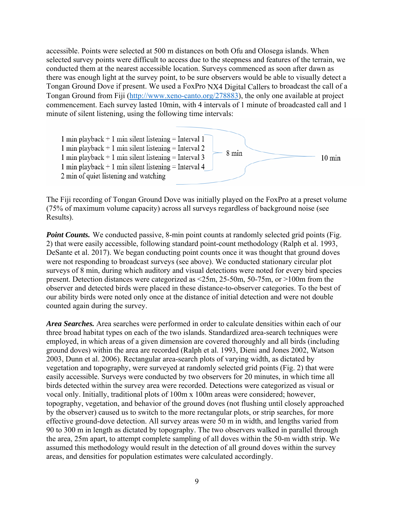accessible. Points were selected at 500 m distances on both Ofu and Olosega islands. When selected survey points were difficult to access due to the steepness and features of the terrain, we conducted them at the nearest accessible location. Surveys commenced as soon after dawn as there was enough light at the survey point, to be sure observers would be able to visually detect a Tongan Ground Dove if present. We used a FoxPro NX4 Digital Callers to broadcast the call of a Tongan Ground from Fiji (http://www.xeno-canto.org/278883), the only one available at project commencement. Each survey lasted 10min, with 4 intervals of 1 minute of broadcasted call and 1 minute of silent listening, using the following time intervals:



The Fiji recording of Tongan Ground Dove was initially played on the FoxPro at a preset volume (75% of maximum volume capacity) across all surveys regardless of background noise (see Results).

**Point Counts.** We conducted passive, 8-min point counts at randomly selected grid points (Fig. 2) that were easily accessible, following standard point-count methodology (Ralph et al. 1993, DeSante et al. 2017). We began conducting point counts once it was thought that ground doves were not responding to broadcast surveys (see above). We conducted stationary circular plot surveys of 8 min, during which auditory and visual detections were noted for every bird species present. Detection distances were categorized as <25m, 25-50m, 50-75m, or >100m from the observer and detected birds were placed in these distance-to-observer categories. To the best of our ability birds were noted only once at the distance of initial detection and were not double counted again during the survey.

*Area Searches.* Area searches were performed in order to calculate densities within each of our three broad habitat types on each of the two islands. Standardized area-search techniques were employed, in which areas of a given dimension are covered thoroughly and all birds (including ground doves) within the area are recorded (Ralph et al. 1993, Dieni and Jones 2002, Watson 2003, Dunn et al. 2006). Rectangular area-search plots of varying width, as dictated by vegetation and topography, were surveyed at randomly selected grid points (Fig. 2) that were easily accessible. Surveys were conducted by two observers for 20 minutes, in which time all birds detected within the survey area were recorded. Detections were categorized as visual or vocal only. Initially, traditional plots of 100m x 100m areas were considered; however, topography, vegetation, and behavior of the ground doves (not flushing until closely approached by the observer) caused us to switch to the more rectangular plots, or strip searches, for more effective ground-dove detection. All survey areas were 50 m in width, and lengths varied from 90 to 300 m in length as dictated by topography. The two observers walked in parallel through the area, 25m apart, to attempt complete sampling of all doves within the 50-m width strip. We assumed this methodology would result in the detection of all ground doves within the survey areas, and densities for population estimates were calculated accordingly.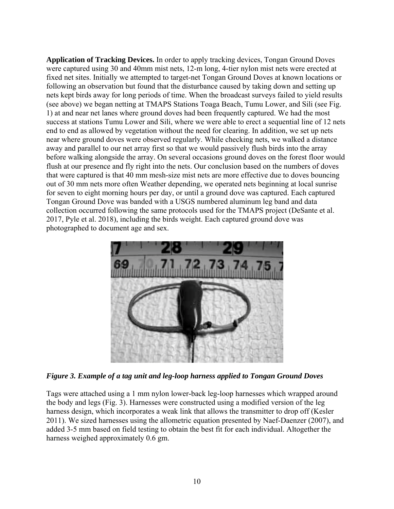**Application of Tracking Devices.** In order to apply tracking devices, Tongan Ground Doves were captured using 30 and 40mm mist nets, 12-m long, 4-tier nylon mist nets were erected at fixed net sites. Initially we attempted to target-net Tongan Ground Doves at known locations or following an observation but found that the disturbance caused by taking down and setting up nets kept birds away for long periods of time. When the broadcast surveys failed to yield results (see above) we began netting at TMAPS Stations Toaga Beach, Tumu Lower, and Sili (see Fig. 1) at and near net lanes where ground doves had been frequently captured. We had the most success at stations Tumu Lower and Sili, where we were able to erect a sequential line of 12 nets end to end as allowed by vegetation without the need for clearing. In addition, we set up nets near where ground doves were observed regularly. While checking nets, we walked a distance away and parallel to our net array first so that we would passively flush birds into the array before walking alongside the array. On several occasions ground doves on the forest floor would flush at our presence and fly right into the nets. Our conclusion based on the numbers of doves that were captured is that 40 mm mesh-size mist nets are more effective due to doves bouncing out of 30 mm nets more often Weather depending, we operated nets beginning at local sunrise for seven to eight morning hours per day, or until a ground dove was captured. Each captured Tongan Ground Dove was banded with a USGS numbered aluminum leg band and data collection occurred following the same protocols used for the TMAPS project (DeSante et al. 2017, Pyle et al. 2018), including the birds weight. Each captured ground dove was photographed to document age and sex.



*Figure 3. Example of a tag unit and leg-loop harness applied to Tongan Ground Doves* 

Tags were attached using a 1 mm nylon lower-back leg-loop harnesses which wrapped around the body and legs (Fig. 3). Harnesses were constructed using a modified version of the leg harness design, which incorporates a weak link that allows the transmitter to drop off (Kesler 2011). We sized harnesses using the allometric equation presented by Naef-Daenzer (2007), and added 3-5 mm based on field testing to obtain the best fit for each individual. Altogether the harness weighed approximately 0.6 gm.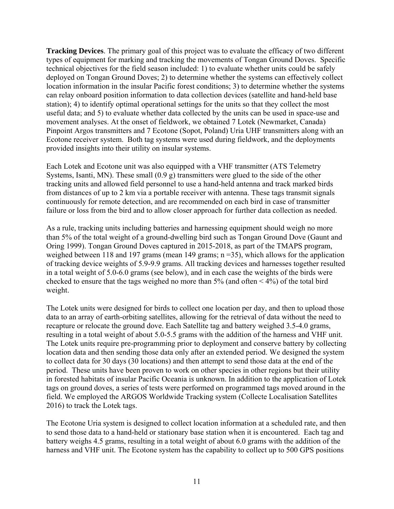**Tracking Devices**. The primary goal of this project was to evaluate the efficacy of two different types of equipment for marking and tracking the movements of Tongan Ground Doves. Specific technical objectives for the field season included: 1) to evaluate whether units could be safely deployed on Tongan Ground Doves; 2) to determine whether the systems can effectively collect location information in the insular Pacific forest conditions; 3) to determine whether the systems can relay onboard position information to data collection devices (satellite and hand-held base station); 4) to identify optimal operational settings for the units so that they collect the most useful data; and 5) to evaluate whether data collected by the units can be used in space-use and movement analyses. At the onset of fieldwork, we obtained 7 Lotek (Newmarket, Canada) Pinpoint Argos transmitters and 7 Ecotone (Sopot, Poland) Uria UHF transmitters along with an Ecotone receiver system. Both tag systems were used during fieldwork, and the deployments provided insights into their utility on insular systems.

Each Lotek and Ecotone unit was also equipped with a VHF transmitter (ATS Telemetry Systems, Isanti, MN). These small (0.9 g) transmitters were glued to the side of the other tracking units and allowed field personnel to use a hand-held antenna and track marked birds from distances of up to 2 km via a portable receiver with antenna. These tags transmit signals continuously for remote detection, and are recommended on each bird in case of transmitter failure or loss from the bird and to allow closer approach for further data collection as needed.

As a rule, tracking units including batteries and harnessing equipment should weigh no more than 5% of the total weight of a ground-dwelling bird such as Tongan Ground Dove (Gaunt and Oring 1999). Tongan Ground Doves captured in 2015-2018, as part of the TMAPS program, weighed between 118 and 197 grams (mean 149 grams; n = 35), which allows for the application of tracking device weights of 5.9-9.9 grams. All tracking devices and harnesses together resulted in a total weight of 5.0-6.0 grams (see below), and in each case the weights of the birds were checked to ensure that the tags weighed no more than  $5\%$  (and often  $\leq 4\%$ ) of the total bird weight.

The Lotek units were designed for birds to collect one location per day, and then to upload those data to an array of earth-orbiting satellites, allowing for the retrieval of data without the need to recapture or relocate the ground dove. Each Satellite tag and battery weighed 3.5-4.0 grams, resulting in a total weight of about 5.0-5.5 grams with the addition of the harness and VHF unit. The Lotek units require pre-programming prior to deployment and conserve battery by collecting location data and then sending those data only after an extended period. We designed the system to collect data for 30 days (30 locations) and then attempt to send those data at the end of the period. These units have been proven to work on other species in other regions but their utility in forested habitats of insular Pacific Oceania i*s* unknown. In addition to the application of Lotek tags on ground doves, a series of tests were performed on programmed tags moved around in the field. We employed the ARGOS Worldwide Tracking system (Collecte Localisation Satellites 2016) to track the Lotek tags.

The Ecotone Uria system is designed to collect location information at a scheduled rate, and then to send those data to a hand-held or stationary base station when it is encountered. Each tag and battery weighs 4.5 grams, resulting in a total weight of about 6.0 grams with the addition of the harness and VHF unit. The Ecotone system has the capability to collect up to 500 GPS positions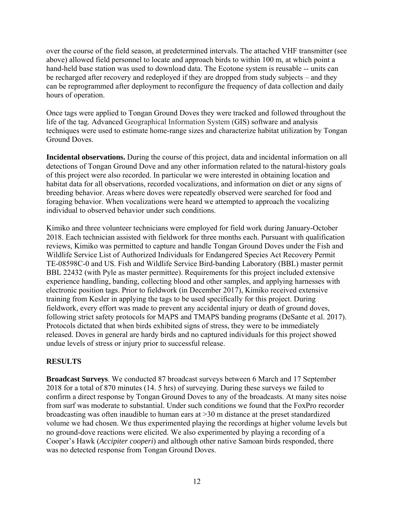over the course of the field season, at predetermined intervals. The attached VHF transmitter (see above) allowed field personnel to locate and approach birds to within 100 m, at which point a hand-held base station was used to download data. The Ecotone system is reusable -- units can be recharged after recovery and redeployed if they are dropped from study subjects – and they can be reprogrammed after deployment to reconfigure the frequency of data collection and daily hours of operation.

Once tags were applied to Tongan Ground Doves they were tracked and followed throughout the life of the tag. Advanced Geographical Information System (GIS) software and analysis techniques were used to estimate home-range sizes and characterize habitat utilization by Tongan Ground Doves.

**Incidental observations.** During the course of this project, data and incidental information on all detections of Tongan Ground Dove and any other information related to the natural-history goals of this project were also recorded. In particular we were interested in obtaining location and habitat data for all observations, recorded vocalizations, and information on diet or any signs of breeding behavior. Areas where doves were repeatedly observed were searched for food and foraging behavior. When vocalizations were heard we attempted to approach the vocalizing individual to observed behavior under such conditions.

Kimiko and three volunteer technicians were employed for field work during January-October 2018. Each technician assisted with fieldwork for three months each. Pursuant with qualification reviews, Kimiko was permitted to capture and handle Tongan Ground Doves under the Fish and Wildlife Service List of Authorized Individuals for Endangered Species Act Recovery Permit TE-08598C-0 and US. Fish and Wildlife Service Bird-banding Laboratory (BBL) master permit BBL 22432 (with Pyle as master permittee). Requirements for this project included extensive experience handling, banding, collecting blood and other samples, and applying harnesses with electronic position tags. Prior to fieldwork (in December 2017), Kimiko received extensive training from Kesler in applying the tags to be used specifically for this project. During fieldwork, every effort was made to prevent any accidental injury or death of ground doves, following strict safety protocols for MAPS and TMAPS banding programs (DeSante et al. 2017). Protocols dictated that when birds exhibited signs of stress, they were to be immediately released. Doves in general are hardy birds and no captured individuals for this project showed undue levels of stress or injury prior to successful release.

# **RESULTS**

**Broadcast Surveys**. We conducted 87 broadcast surveys between 6 March and 17 September 2018 for a total of 870 minutes (14. 5 hrs) of surveying. During these surveys we failed to confirm a direct response by Tongan Ground Doves to any of the broadcasts. At many sites noise from surf was moderate to substantial. Under such conditions we found that the FoxPro recorder broadcasting was often inaudible to human ears at >30 m distance at the preset standardized volume we had chosen. We thus experimented playing the recordings at higher volume levels but no ground-dove reactions were elicited. We also experimented by playing a recording of a Cooper's Hawk (*Accipiter cooperi*) and although other native Samoan birds responded, there was no detected response from Tongan Ground Doves.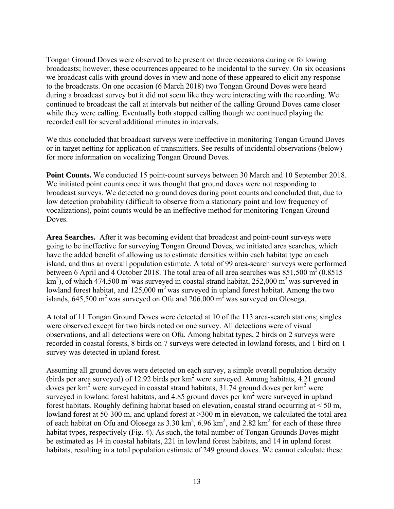Tongan Ground Doves were observed to be present on three occasions during or following broadcasts; however, these occurrences appeared to be incidental to the survey. On six occasions we broadcast calls with ground doves in view and none of these appeared to elicit any response to the broadcasts. On one occasion (6 March 2018) two Tongan Ground Doves were heard during a broadcast survey but it did not seem like they were interacting with the recording. We continued to broadcast the call at intervals but neither of the calling Ground Doves came closer while they were calling. Eventually both stopped calling though we continued playing the recorded call for several additional minutes in intervals.

We thus concluded that broadcast surveys were ineffective in monitoring Tongan Ground Doves or in target netting for application of transmitters. See results of incidental observations (below) for more information on vocalizing Tongan Ground Doves.

**Point Counts.** We conducted 15 point-count surveys between 30 March and 10 September 2018. We initiated point counts once it was thought that ground doves were not responding to broadcast surveys. We detected no ground doves during point counts and concluded that, due to low detection probability (difficult to observe from a stationary point and low frequency of vocalizations), point counts would be an ineffective method for monitoring Tongan Ground Doves.

**Area Searches.** After it was becoming evident that broadcast and point-count surveys were going to be ineffective for surveying Tongan Ground Doves, we initiated area searches, which have the added benefit of allowing us to estimate densities within each habitat type on each island, and thus an overall population estimate. A total of 99 area-search surveys were performed between 6 April and 4 October 2018. The total area of all area searches was  $851,500 \text{ m}^2 (0.8515)$ km<sup>2</sup>), of which 474,500 m<sup>2</sup> was surveyed in coastal strand habitat, 252,000 m<sup>2</sup> was surveyed in lowland forest habitat, and  $125,000 \text{ m}^2$  was surveyed in upland forest habitat. Among the two islands,  $645,500 \text{ m}^2$  was surveyed on Ofu and  $206,000 \text{ m}^2$  was surveyed on Olosega.

A total of 11 Tongan Ground Doves were detected at 10 of the 113 area-search stations; singles were observed except for two birds noted on one survey. All detections were of visual observations, and all detections were on Ofu. Among habitat types, 2 birds on 2 surveys were recorded in coastal forests, 8 birds on 7 surveys were detected in lowland forests, and 1 bird on 1 survey was detected in upland forest.

Assuming all ground doves were detected on each survey, a simple overall population density (birds per area surveyed) of 12.92 birds per km<sup>2</sup> were surveyed. Among habitats, 4.21 ground doves per  $km^2$  were surveyed in coastal strand habitats, 31.74 ground doves per  $km^2$  were surveyed in lowland forest habitats, and  $4.85$  ground doves per  $km<sup>2</sup>$  were surveyed in upland forest habitats. Roughly defining habitat based on elevation, coastal strand occurring at < 50 m, lowland forest at 50-300 m, and upland forest at  $>$ 300 m in elevation, we calculated the total area of each habitat on Ofu and Olosega as  $3.30 \text{ km}^2$ ,  $6.96 \text{ km}^2$ , and  $2.82 \text{ km}^2$  for each of these three habitat types, respectively (Fig. 4). As such, the total number of Tongan Grounds Doves might be estimated as 14 in coastal habitats, 221 in lowland forest habitats, and 14 in upland forest habitats, resulting in a total population estimate of 249 ground doves. We cannot calculate these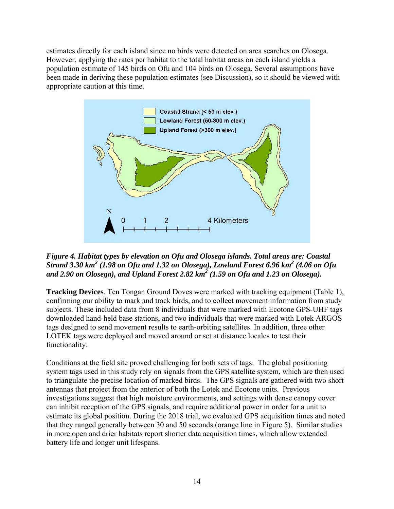estimates directly for each island since no birds were detected on area searches on Olosega. However, applying the rates per habitat to the total habitat areas on each island yields a population estimate of 145 birds on Ofu and 104 birds on Olosega. Several assumptions have been made in deriving these population estimates (see Discussion), so it should be viewed with appropriate caution at this time.



*Figure 4. Habitat types by elevation on Ofu and Olosega islands. Total areas are: Coastal Strand 3.30 km<sup>2</sup> (1.98 on Ofu and 1.32 on Olosega), Lowland Forest 6.96 km<sup>2</sup> (4.06 on Ofu and 2.90 on Olosega), and Upland Forest 2.82 km<sup>2</sup> (1.59 on Ofu and 1.23 on Olosega).* 

**Tracking Devices**. Ten Tongan Ground Doves were marked with tracking equipment (Table 1), confirming our ability to mark and track birds, and to collect movement information from study subjects. These included data from 8 individuals that were marked with Ecotone GPS-UHF tags downloaded hand-held base stations, and two individuals that were marked with Lotek ARGOS tags designed to send movement results to earth-orbiting satellites. In addition, three other LOTEK tags were deployed and moved around or set at distance locales to test their functionality.

Conditions at the field site proved challenging for both sets of tags. The global positioning system tags used in this study rely on signals from the GPS satellite system, which are then used to triangulate the precise location of marked birds. The GPS signals are gathered with two short antennas that project from the anterior of both the Lotek and Ecotone units. Previous investigations suggest that high moisture environments, and settings with dense canopy cover can inhibit reception of the GPS signals, and require additional power in order for a unit to estimate its global position. During the 2018 trial, we evaluated GPS acquisition times and noted that they ranged generally between 30 and 50 seconds (orange line in Figure 5). Similar studies in more open and drier habitats report shorter data acquisition times, which allow extended battery life and longer unit lifespans.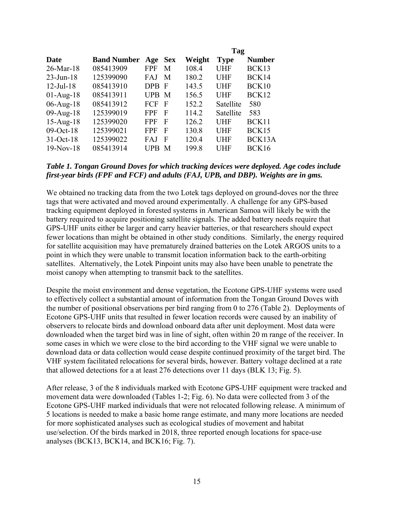|                 |                    |            |            |        | Tag         |               |  |
|-----------------|--------------------|------------|------------|--------|-------------|---------------|--|
| Date            | <b>Band Number</b> | Age        | <b>Sex</b> | Weight | <b>Type</b> | <b>Number</b> |  |
| $26$ -Mar-18    | 085413909          | <b>FPF</b> | M          | 108.4  | <b>UHF</b>  | BCK13         |  |
| $23$ -Jun-18    | 125399090          | FAJ        | M          | 180.2  | <b>UHF</b>  | BCK14         |  |
| $12$ -Jul-18    | 085413910          | DPB F      |            | 143.5  | <b>UHF</b>  | BCK10         |  |
| $01-Aug-18$     | 085413911          | UPB M      |            | 156.5  | <b>UHF</b>  | BCK12         |  |
| $06$ -Aug-18    | 085413912          | <b>FCF</b> | -F         | 152.2  | Satellite   | 580           |  |
| $09-Aug-18$     | 125399019          | FPF        | F          | 114.2  | Satellite   | 583           |  |
| $15$ -Aug- $18$ | 125399020          | FPF        | F          | 126.2  | <b>UHF</b>  | BCK11         |  |
| $09-Oct-18$     | 125399021          | FPF        | F          | 130.8  | <b>UHF</b>  | BCK15         |  |
| $31-Oct-18$     | 125399022          | FAJ        | F          | 120.4  | <b>UHF</b>  | BCK13A        |  |
| $19-Nov-18$     | 085413914          | <b>TPB</b> | M          | 199.8  | UHF         | BCK16         |  |

#### *Table 1. Tongan Ground Doves for which tracking devices were deployed. Age codes include first-year birds (FPF and FCF) and adults (FAJ, UPB, and DBP). Weights are in gms.*

We obtained no tracking data from the two Lotek tags deployed on ground-doves nor the three tags that were activated and moved around experimentally. A challenge for any GPS-based tracking equipment deployed in forested systems in American Samoa will likely be with the battery required to acquire positioning satellite signals. The added battery needs require that GPS-UHF units either be larger and carry heavier batteries, or that researchers should expect fewer locations than might be obtained in other study conditions. Similarly, the energy required for satellite acquisition may have prematurely drained batteries on the Lotek ARGOS units to a point in which they were unable to transmit location information back to the earth-orbiting satellites. Alternatively, the Lotek Pinpoint units may also have been unable to penetrate the moist canopy when attempting to transmit back to the satellites.

Despite the moist environment and dense vegetation, the Ecotone GPS-UHF systems were used to effectively collect a substantial amount of information from the Tongan Ground Doves with the number of positional observations per bird ranging from 0 to 276 (Table 2). Deployments of Ecotone GPS-UHF units that resulted in fewer location records were caused by an inability of observers to relocate birds and download onboard data after unit deployment. Most data were downloaded when the target bird was in line of sight, often within 20 m range of the receiver. In some cases in which we were close to the bird according to the VHF signal we were unable to download data or data collection would cease despite continued proximity of the target bird. The VHF system facilitated relocations for several birds, however. Battery voltage declined at a rate that allowed detections for a at least 276 detections over 11 days (BLK 13; Fig. 5).

After release, 3 of the 8 individuals marked with Ecotone GPS-UHF equipment were tracked and movement data were downloaded (Tables 1-2; Fig. 6). No data were collected from 3 of the Ecotone GPS-UHF marked individuals that were not relocated following release. A minimum of 5 locations is needed to make a basic home range estimate, and many more locations are needed for more sophisticated analyses such as ecological studies of movement and habitat use/selection. Of the birds marked in 2018, three reported enough locations for space-use analyses (BCK13, BCK14, and BCK16; Fig. 7).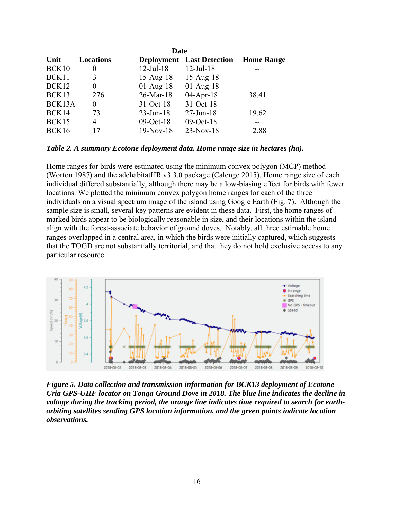| Unit   | <b>Locations</b> |                 | <b>Deployment</b> Last Detection | <b>Home Range</b> |
|--------|------------------|-----------------|----------------------------------|-------------------|
| BCK10  | $\theta$         | $12$ -Jul-18    | $12$ -Jul-18                     |                   |
| BCK11  | 3                | $15$ -Aug- $18$ | $15 - Aug-18$                    |                   |
| BCK12  | $\theta$         | $01-Aug-18$     | $01-Aug-18$                      | --                |
| BCK13  | 276              | $26$ -Mar-18    | $04-Apr-18$                      | 38.41             |
| BCK13A | $\theta$         | $31-Oct-18$     | $31-Oct-18$                      |                   |
| BCK14  | 73               | $23 - Jun-18$   | $27$ -Jun-18                     | 19.62             |
| BCK15  | 4                | 09-Oct-18       | $09-Oct-18$                      |                   |
| BCK16  | 17               | $19-Nov-18$     | $23-Nov-18$                      | 2.88              |

*Table 2. A summary Ecotone deployment data. Home range size in hectares (ha).* 

Home ranges for birds were estimated using the minimum convex polygon (MCP) method (Worton 1987) and the adehabitatHR v3.3.0 package (Calenge 2015). Home range size of each individual differed substantially, although there may be a low-biasing effect for birds with fewer locations. We plotted the minimum convex polygon home ranges for each of the three individuals on a visual spectrum image of the island using Google Earth (Fig. 7). Although the sample size is small, several key patterns are evident in these data. First, the home ranges of marked birds appear to be biologically reasonable in size, and their locations within the island align with the forest-associate behavior of ground doves. Notably, all three estimable home ranges overlapped in a central area, in which the birds were initially captured, which suggests that the TOGD are not substantially territorial, and that they do not hold exclusive access to any particular resource.



*Figure 5. Data collection and transmission information for BCK13 deployment of Ecotone Uria GPS-UHF locator on Tonga Ground Dove in 2018. The blue line indicates the decline in voltage during the tracking period, the orange line indicates time required to search for earthorbiting satellites sending GPS location information, and the green points indicate location observations.*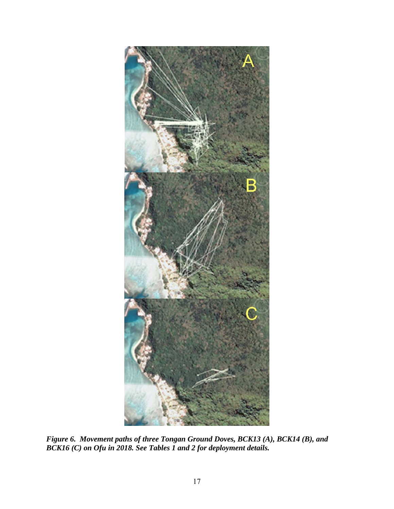

*Figure 6. Movement paths of three Tongan Ground Doves, BCK13 (A), BCK14 (B), and BCK16 (C) on Ofu in 2018. See Tables 1 and 2 for deployment details.*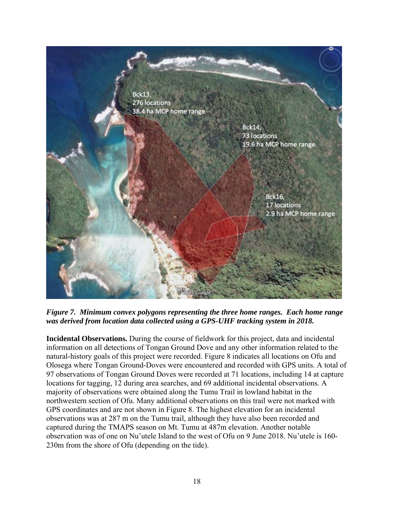

*Figure 7. Minimum convex polygons representing the three home ranges. Each home range was derived from location data collected using a GPS-UHF tracking system in 2018.* 

**Incidental Observations.** During the course of fieldwork for this project, data and incidental information on all detections of Tongan Ground Dove and any other information related to the natural-history goals of this project were recorded. Figure 8 indicates all locations on Ofu and Olosega where Tongan Ground-Doves were encountered and recorded with GPS units. A total of 97 observations of Tongan Ground Doves were recorded at 71 locations, including 14 at capture locations for tagging, 12 during area searches, and 69 additional incidental observations. A majority of observations were obtained along the Tumu Trail in lowland habitat in the northwestern section of Ofu. Many additional observations on this trail were not marked with GPS coordinates and are not shown in Figure 8. The highest elevation for an incidental observations was at 287 m on the Tumu trail, although they have also been recorded and captured during the TMAPS season on Mt. Tumu at 487m elevation. Another notable observation was of one on Nu'utele Island to the west of Ofu on 9 June 2018. Nu'utele is 160- 230m from the shore of Ofu (depending on the tide).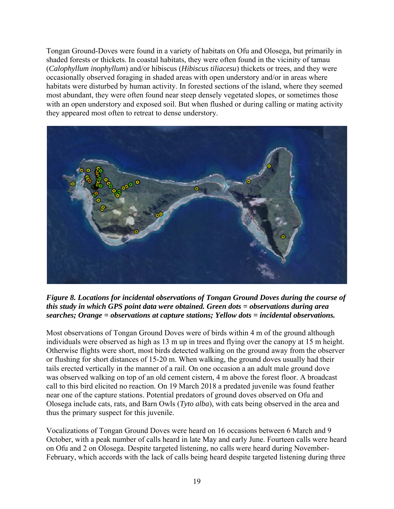Tongan Ground-Doves were found in a variety of habitats on Ofu and Olosega, but primarily in shaded forests or thickets. In coastal habitats, they were often found in the vicinity of tamau (*Calophyllum inophyllum*) and/or hibiscus (*Hibiscus tiliacesu*) thickets or trees, and they were occasionally observed foraging in shaded areas with open understory and/or in areas where habitats were disturbed by human activity. In forested sections of the island, where they seemed most abundant, they were often found near steep densely vegetated slopes, or sometimes those with an open understory and exposed soil. But when flushed or during calling or mating activity they appeared most often to retreat to dense understory.



*Figure 8. Locations for incidental observations of Tongan Ground Doves during the course of this study in which GPS point data were obtained. Green dots = observations during area searches; Orange = observations at capture stations; Yellow dots = incidental observations.* 

Most observations of Tongan Ground Doves were of birds within 4 m of the ground although individuals were observed as high as 13 m up in trees and flying over the canopy at 15 m height. Otherwise flights were short, most birds detected walking on the ground away from the observer or flushing for short distances of 15-20 m. When walking, the ground doves usually had their tails erected vertically in the manner of a rail. On one occasion a an adult male ground dove was observed walking on top of an old cement cistern, 4 m above the forest floor. A broadcast call to this bird elicited no reaction. On 19 March 2018 a predated juvenile was found feather near one of the capture stations. Potential predators of ground doves observed on Ofu and Olosega include cats, rats, and Barn Owls (*Tyto alba*), with cats being observed in the area and thus the primary suspect for this juvenile.

Vocalizations of Tongan Ground Doves were heard on 16 occasions between 6 March and 9 October, with a peak number of calls heard in late May and early June. Fourteen calls were heard on Ofu and 2 on Olosega. Despite targeted listening, no calls were heard during November-February, which accords with the lack of calls being heard despite targeted listening during three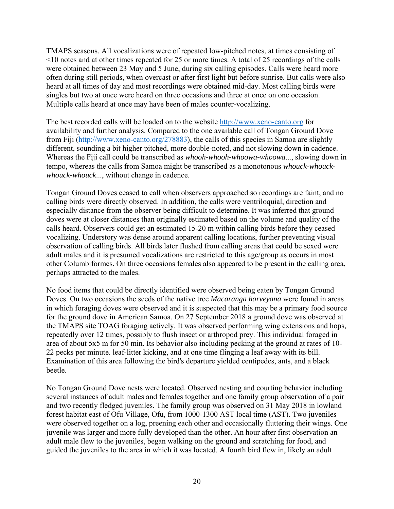TMAPS seasons. All vocalizations were of repeated low-pitched notes, at times consisting of <10 notes and at other times repeated for 25 or more times. A total of 25 recordings of the calls were obtained between 23 May and 5 June, during six calling episodes. Calls were heard more often during still periods, when overcast or after first light but before sunrise. But calls were also heard at all times of day and most recordings were obtained mid-day. Most calling birds were singles but two at once were heard on three occasions and three at once on one occasion. Multiple calls heard at once may have been of males counter-vocalizing.

The best recorded calls will be loaded on to the website http://www.xeno-canto.org for availability and further analysis. Compared to the one available call of Tongan Ground Dove from Fiji (http://www.xeno-canto.org/278883), the calls of this species in Samoa are slightly different, sounding a bit higher pitched, more double-noted, and not slowing down in cadence. Whereas the Fiji call could be transcribed as *whooh-whooh-whoowa-whoowa*..., slowing down in tempo, whereas the calls from Samoa might be transcribed as a monotonous *whouck-whouckwhouck-whouck*..., without change in cadence.

Tongan Ground Doves ceased to call when observers approached so recordings are faint, and no calling birds were directly observed. In addition, the calls were ventriloquial, direction and especially distance from the observer being difficult to determine. It was inferred that ground doves were at closer distances than originally estimated based on the volume and quality of the calls heard. Observers could get an estimated 15-20 m within calling birds before they ceased vocalizing. Understory was dense around apparent calling locations, further preventing visual observation of calling birds. All birds later flushed from calling areas that could be sexed were adult males and it is presumed vocalizations are restricted to this age/group as occurs in most other Columbiformes. On three occasions females also appeared to be present in the calling area, perhaps attracted to the males.

No food items that could be directly identified were observed being eaten by Tongan Ground Doves. On two occasions the seeds of the native tree *Macaranga harveyana* were found in areas in which foraging doves were observed and it is suspected that this may be a primary food source for the ground dove in American Samoa. On 27 September 2018 a ground dove was observed at the TMAPS site TOAG foraging actively. It was observed performing wing extensions and hops, repeatedly over 12 times, possibly to flush insect or arthropod prey. This individual foraged in area of about 5x5 m for 50 min. Its behavior also including pecking at the ground at rates of 10- 22 pecks per minute. leaf-litter kicking, and at one time flinging a leaf away with its bill. Examination of this area following the bird's departure yielded centipedes, ants, and a black beetle.

No Tongan Ground Dove nests were located. Observed nesting and courting behavior including several instances of adult males and females together and one family group observation of a pair and two recently fledged juveniles. The family group was observed on 31 May 2018 in lowland forest habitat east of Ofu Village, Ofu, from 1000-1300 AST local time (AST). Two juveniles were observed together on a log, preening each other and occasionally fluttering their wings. One juvenile was larger and more fully developed than the other. An hour after first observation an adult male flew to the juveniles, began walking on the ground and scratching for food, and guided the juveniles to the area in which it was located. A fourth bird flew in, likely an adult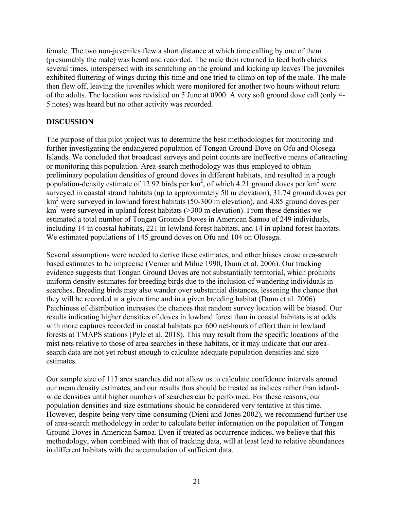female. The two non-juveniles flew a short distance at which time calling by one of them (presumably the male) was heard and recorded. The male then returned to feed both chicks several times, interspersed with its scratching on the ground and kicking up leaves The juveniles exhibited fluttering of wings during this time and one tried to climb on top of the male. The male then flew off, leaving the juveniles which were monitored for another two hours without return of the adults. The location was revisited on 5 June at 0900. A very soft ground dove call (only 4- 5 notes) was heard but no other activity was recorded.

## **DISCUSSION**

The purpose of this pilot project was to determine the best methodologies for monitoring and further investigating the endangered population of Tongan Ground-Dove on Ofu and Olosega Islands. We concluded that broadcast surveys and point counts are ineffective means of attracting or monitoring this population. Area-search methodology was thus employed to obtain preliminary population densities of ground doves in different habitats, and resulted in a rough population-density estimate of 12.92 birds per  $km^2$ , of which 4.21 ground doves per  $km^2$  were surveyed in coastal strand habitats (up to approximately 50 m elevation), 31.74 ground doves per km<sup>2</sup> were surveyed in lowland forest habitats (50-300 m elevation), and 4.85 ground doves per  $km<sup>2</sup>$  were surveyed in upland forest habitats (>300 m elevation). From these densities we estimated a total number of Tongan Grounds Doves in American Samoa of 249 individuals, including 14 in coastal habitats, 221 in lowland forest habitats, and 14 in upland forest habitats. We estimated populations of 145 ground doves on Ofu and 104 on Olosega.

Several assumptions were needed to derive these estimates, and other biases cause area-search based estimates to be imprecise (Verner and Milne 1990, Dunn et al. 2006). Our tracking evidence suggests that Tongan Ground Doves are not substantially territorial, which prohibits uniform density estimates for breeding birds due to the inclusion of wandering individuals in searches. Breeding birds may also wander over substantial distances, lessening the chance that they will be recorded at a given time and in a given breeding habitat (Dunn et al. 2006). Patchiness of distribution increases the chances that random survey location will be biased. Our results indicating higher densities of doves in lowland forest than in coastal habitats is at odds with more captures recorded in coastal habitats per 600 net-hours of effort than in lowland forests at TMAPS stations (Pyle et al. 2018). This may result from the specific locations of the mist nets relative to those of area searches in these habitats, or it may indicate that our areasearch data are not yet robust enough to calculate adequate population densities and size estimates.

Our sample size of 113 area searches did not allow us to calculate confidence intervals around our mean density estimates, and our results thus should be treated as indices rather than islandwide densities until higher numbers of searches can be performed. For these reasons, our population densities and size estimations should be considered very tentative at this time. However, despite being very time-consuming (Dieni and Jones 2002), we recommend further use of area-search methodology in order to calculate better information on the population of Tongan Ground Doves in American Samoa. Even if treated as occurrence indices, we believe that this methodology, when combined with that of tracking data, will at least lead to relative abundances in different habitats with the accumulation of sufficient data.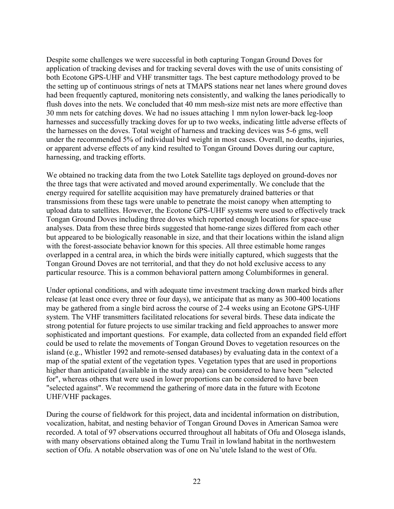Despite some challenges we were successful in both capturing Tongan Ground Doves for application of tracking devises and for tracking several doves with the use of units consisting of both Ecotone GPS-UHF and VHF transmitter tags. The best capture methodology proved to be the setting up of continuous strings of nets at TMAPS stations near net lanes where ground doves had been frequently captured, monitoring nets consistently, and walking the lanes periodically to flush doves into the nets. We concluded that 40 mm mesh-size mist nets are more effective than 30 mm nets for catching doves. We had no issues attaching 1 mm nylon lower-back leg-loop harnesses and successfully tracking doves for up to two weeks, indicating little adverse effects of the harnesses on the doves. Total weight of harness and tracking devices was 5-6 gms, well under the recommended 5% of individual bird weight in most cases. Overall, no deaths, injuries, or apparent adverse effects of any kind resulted to Tongan Ground Doves during our capture, harnessing, and tracking efforts.

We obtained no tracking data from the two Lotek Satellite tags deployed on ground-doves nor the three tags that were activated and moved around experimentally. We conclude that the energy required for satellite acquisition may have prematurely drained batteries or that transmissions from these tags were unable to penetrate the moist canopy when attempting to upload data to satellites. However, the Ecotone GPS-UHF systems were used to effectively track Tongan Ground Doves including three doves which reported enough locations for space-use analyses. Data from these three birds suggested that home-range sizes differed from each other but appeared to be biologically reasonable in size, and that their locations within the island align with the forest-associate behavior known for this species. All three estimable home ranges overlapped in a central area, in which the birds were initially captured, which suggests that the Tongan Ground Doves are not territorial, and that they do not hold exclusive access to any particular resource. This is a common behavioral pattern among Columbiformes in general.

Under optional conditions, and with adequate time investment tracking down marked birds after release (at least once every three or four days), we anticipate that as many as 300-400 locations may be gathered from a single bird across the course of 2-4 weeks using an Ecotone GPS-UHF system. The VHF transmitters facilitated relocations for several birds. These data indicate the strong potential for future projects to use similar tracking and field approaches to answer more sophisticated and important questions. For example, data collected from an expanded field effort could be used to relate the movements of Tongan Ground Doves to vegetation resources on the island (e.g., Whistler 1992 and remote-sensed databases) by evaluating data in the context of a map of the spatial extent of the vegetation types. Vegetation types that are used in proportions higher than anticipated (available in the study area) can be considered to have been "selected for", whereas others that were used in lower proportions can be considered to have been "selected against". We recommend the gathering of more data in the future with Ecotone UHF/VHF packages.

During the course of fieldwork for this project, data and incidental information on distribution, vocalization, habitat, and nesting behavior of Tongan Ground Doves in American Samoa were recorded. A total of 97 observations occurred throughout all habitats of Ofu and Olosega islands, with many observations obtained along the Tumu Trail in lowland habitat in the northwestern section of Ofu. A notable observation was of one on Nu'utele Island to the west of Ofu.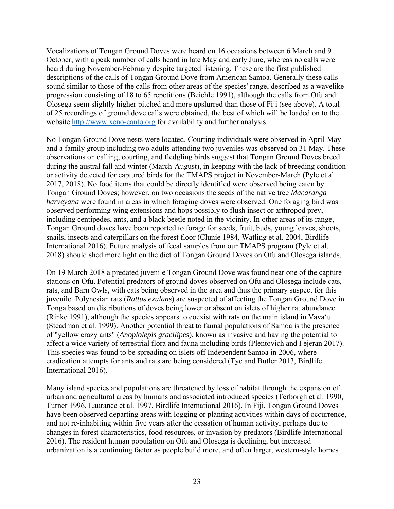Vocalizations of Tongan Ground Doves were heard on 16 occasions between 6 March and 9 October, with a peak number of calls heard in late May and early June, whereas no calls were heard during November-February despite targeted listening. These are the first published descriptions of the calls of Tongan Ground Dove from American Samoa. Generally these calls sound similar to those of the calls from other areas of the species' range, described as a wavelike progression consisting of 18 to 65 repetitions (Beichle 1991), although the calls from Ofu and Olosega seem slightly higher pitched and more upslurred than those of Fiji (see above). A total of 25 recordings of ground dove calls were obtained, the best of which will be loaded on to the website http://www.xeno-canto.org for availability and further analysis.

No Tongan Ground Dove nests were located. Courting individuals were observed in April-May and a family group including two adults attending two juveniles was observed on 31 May. These observations on calling, courting, and fledgling birds suggest that Tongan Ground Doves breed during the austral fall and winter (March-August), in keeping with the lack of breeding condition or activity detected for captured birds for the TMAPS project in November-March (Pyle et al. 2017, 2018). No food items that could be directly identified were observed being eaten by Tongan Ground Doves; however, on two occasions the seeds of the native tree *Macaranga harveyana* were found in areas in which foraging doves were observed. One foraging bird was observed performing wing extensions and hops possibly to flush insect or arthropod prey, including centipedes, ants, and a black beetle noted in the vicinity. In other areas of its range, Tongan Ground doves have been reported to forage for seeds, fruit, buds, young leaves, shoots, snails, insects and caterpillars on the forest floor (Clunie 1984, Watling et al. 2004, Birdlife International 2016). Future analysis of fecal samples from our TMAPS program (Pyle et al. 2018) should shed more light on the diet of Tongan Ground Doves on Ofu and Olosega islands.

On 19 March 2018 a predated juvenile Tongan Ground Dove was found near one of the capture stations on Ofu. Potential predators of ground doves observed on Ofu and Olosega include cats, rats, and Barn Owls, with cats being observed in the area and thus the primary suspect for this juvenile. Polynesian rats (*Rattus exulans*) are suspected of affecting the Tongan Ground Dove in Tonga based on distributions of doves being lower or absent on islets of higher rat abundance (Rinke 1991), although the species appears to coexist with rats on the main island in Vava'u (Steadman et al. 1999). Another potential threat to faunal populations of Samoa is the presence of "yellow crazy ants" (*Anoplolepis gracilipes*), known as invasive and having the potential to affect a wide variety of terrestrial flora and fauna including birds (Plentovich and Fejeran 2017). This species was found to be spreading on islets off Independent Samoa in 2006, where eradication attempts for ants and rats are being considered (Tye and Butler 2013, Birdlife International 2016).

Many island species and populations are threatened by loss of habitat through the expansion of urban and agricultural areas by humans and associated introduced species (Terborgh et al. 1990, Turner 1996, Laurance et al. 1997, Birdlife International 2016). In Fiji, Tongan Ground Doves have been observed departing areas with logging or planting activities within days of occurrence, and not re-inhabiting within five years after the cessation of human activity, perhaps due to changes in forest characteristics, food resources, or invasion by predators (Birdlife International 2016). The resident human population on Ofu and Olosega is declining, but increased urbanization is a continuing factor as people build more, and often larger, western-style homes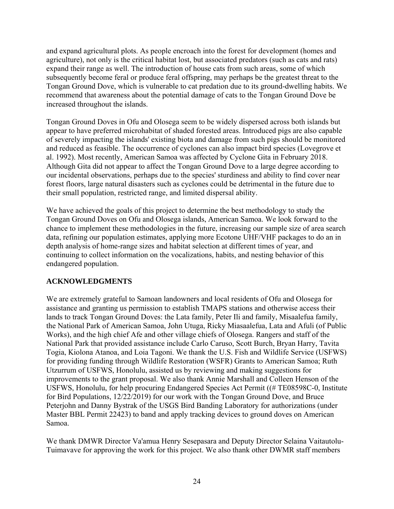and expand agricultural plots. As people encroach into the forest for development (homes and agriculture), not only is the critical habitat lost, but associated predators (such as cats and rats) expand their range as well. The introduction of house cats from such areas, some of which subsequently become feral or produce feral offspring, may perhaps be the greatest threat to the Tongan Ground Dove, which is vulnerable to cat predation due to its ground-dwelling habits. We recommend that awareness about the potential damage of cats to the Tongan Ground Dove be increased throughout the islands.

Tongan Ground Doves in Ofu and Olosega seem to be widely dispersed across both islands but appear to have preferred microhabitat of shaded forested areas. Introduced pigs are also capable of severely impacting the islands' existing biota and damage from such pigs should be monitored and reduced as feasible. The occurrence of cyclones can also impact bird species (Lovegrove et al. 1992). Most recently, American Samoa was affected by Cyclone Gita in February 2018. Although Gita did not appear to affect the Tongan Ground Dove to a large degree according to our incidental observations, perhaps due to the species' sturdiness and ability to find cover near forest floors, large natural disasters such as cyclones could be detrimental in the future due to their small population, restricted range, and limited dispersal ability.

We have achieved the goals of this project to determine the best methodology to study the Tongan Ground Doves on Ofu and Olosega islands, American Samoa. We look forward to the chance to implement these methodologies in the future, increasing our sample size of area search data, refining our population estimates, applying more Ecotone UHF/VHF packages to do an in depth analysis of home-range sizes and habitat selection at different times of year, and continuing to collect information on the vocalizations, habits, and nesting behavior of this endangered population.

# **ACKNOWLEDGMENTS**

We are extremely grateful to Samoan landowners and local residents of Ofu and Olosega for assistance and granting us permission to establish TMAPS stations and otherwise access their lands to track Tongan Ground Doves: the Lata family, Peter Ili and family, Misaalefua family, the National Park of American Samoa, John Utuga, Ricky Miasaalefua, Lata and Afuli (of Public Works), and the high chief Afe and other village chiefs of Olosega. Rangers and staff of the National Park that provided assistance include Carlo Caruso, Scott Burch, Bryan Harry, Tavita Togia, Kiolona Atanoa, and Loia Tagoni. We thank the U.S. Fish and Wildlife Service (USFWS) for providing funding through Wildlife Restoration (WSFR) Grants to American Samoa; Ruth Utzurrum of USFWS, Honolulu, assisted us by reviewing and making suggestions for improvements to the grant proposal. We also thank Annie Marshall and Colleen Henson of the USFWS, Honolulu, for help procuring Endangered Species Act Permit ((# TE08598C-0, Institute for Bird Populations, 12/22/2019) for our work with the Tongan Ground Dove, and Bruce Peterjohn and Danny Bystrak of the USGS Bird Banding Laboratory for authorizations (under Master BBL Permit 22423) to band and apply tracking devices to ground doves on American Samoa.

We thank DMWR Director Va'amua Henry Sesepasara and Deputy Director Selaina Vaitautolu-Tuimavave for approving the work for this project. We also thank other DWMR staff members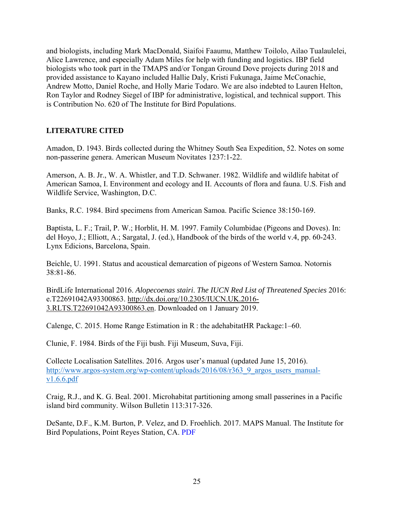and biologists, including Mark MacDonald, Siaifoi Faaumu, Matthew Toilolo, Ailao Tualaulelei, Alice Lawrence, and especially Adam Miles for help with funding and logistics. IBP field biologists who took part in the TMAPS and/or Tongan Ground Dove projects during 2018 and provided assistance to Kayano included Hallie Daly, Kristi Fukunaga, Jaime McConachie, Andrew Motto, Daniel Roche, and Holly Marie Todaro. We are also indebted to Lauren Helton, Ron Taylor and Rodney Siegel of IBP for administrative, logistical, and technical support. This is Contribution No. 620 of The Institute for Bird Populations.

### **LITERATURE CITED**

Amadon, D. 1943. Birds collected during the Whitney South Sea Expedition, 52. Notes on some non-passerine genera. American Museum Novitates 1237:1-22.

Amerson, A. B. Jr., W. A. Whistler, and T.D. Schwaner. 1982. Wildlife and wildlife habitat of American Samoa, I. Environment and ecology and II. Accounts of flora and fauna. U.S. Fish and Wildlife Service, Washington, D.C.

Banks, R.C. 1984. Bird specimens from American Samoa. Pacific Science 38:150-169.

Baptista, L. F.; Trail, P. W.; Horblit, H. M. 1997. Family Columbidae (Pigeons and Doves). In: del Hoyo, J.; Elliott, A.; Sargatal, J. (ed.), Handbook of the birds of the world v.4, pp. 60-243. Lynx Edicions, Barcelona, Spain.

Beichle, U. 1991. Status and acoustical demarcation of pigeons of Western Samoa. Notornis 38:81-86.

BirdLife International 2016. *Alopecoenas stairi*. *The IUCN Red List of Threatened Species* 2016: e.T22691042A93300863. http://dx.doi.org/10.2305/IUCN.UK.2016- 3.RLTS.T22691042A93300863.en. Downloaded on 1 January 2019.

Calenge, C. 2015. Home Range Estimation in R : the adehabitat HR Package:  $1-60$ .

Clunie, F. 1984. Birds of the Fiji bush. Fiji Museum, Suva, Fiji.

Collecte Localisation Satellites. 2016. Argos user's manual (updated June 15, 2016). http://www.argos-system.org/wp-content/uploads/2016/08/r363\_9\_argos\_users\_manualv1.6.6.pdf

Craig, R.J., and K. G. Beal. 2001. Microhabitat partitioning among small passerines in a Pacific island bird community. Wilson Bulletin 113:317-326.

DeSante, D.F., K.M. Burton, P. Velez, and D. Froehlich. 2017. MAPS Manual. The Institute for Bird Populations, Point Reyes Station, CA. PDF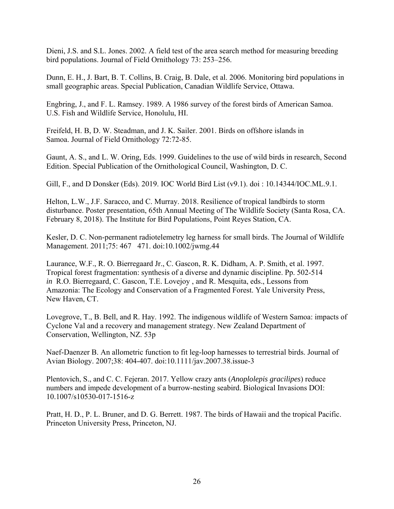Dieni, J.S. and S.L. Jones. 2002. A field test of the area search method for measuring breeding bird populations. Journal of Field Ornithology 73: 253–256.

Dunn, E. H., J. Bart, B. T. Collins, B. Craig, B. Dale, et al. 2006. Monitoring bird populations in small geographic areas. Special Publication, Canadian Wildlife Service, Ottawa.

Engbring, J., and F. L. Ramsey. 1989. A 1986 survey of the forest birds of American Samoa. U.S. Fish and Wildlife Service, Honolulu, HI.

Freifeld, H. B, D. W. Steadman, and J. K. Sailer. 2001. Birds on offshore islands in Samoa. Journal of Field Ornithology 72:72-85.

Gaunt, A. S., and L. W. Oring, Eds. 1999. Guidelines to the use of wild birds in research, Second Edition. Special Publication of the Ornithological Council, Washington, D. C.

Gill, F., and D Donsker (Eds). 2019. IOC World Bird List (v9.1). doi : 10.14344/IOC.ML.9.1.

Helton, L.W., J.F. Saracco, and C. Murray. 2018. Resilience of tropical landbirds to storm disturbance. Poster presentation, 65th Annual Meeting of The Wildlife Society (Santa Rosa, CA. February 8, 2018). The Institute for Bird Populations, Point Reyes Station, CA.

Kesler, D. C. Non-permanent radiotelemetry leg harness for small birds. The Journal of Wildlife Management. 2011;75: 467 471. doi:10.1002/jwmg.44

Laurance, W.F., R. O. Bierregaard Jr., C. Gascon, R. K. Didham, A. P. Smith, et al. 1997. Tropical forest fragmentation: synthesis of a diverse and dynamic discipline. Pp. 502-514 *in* R.O. Bierregaard, C. Gascon, T.E. Lovejoy , and R. Mesquita, eds., Lessons from Amazonia: The Ecology and Conservation of a Fragmented Forest. Yale University Press, New Haven, CT.

Lovegrove, T., B. Bell, and R. Hay. 1992. The indigenous wildlife of Western Samoa: impacts of Cyclone Val and a recovery and management strategy. New Zealand Department of Conservation, Wellington, NZ. 53p

Naef-Daenzer B. An allometric function to fit leg-loop harnesses to terrestrial birds. Journal of Avian Biology. 2007;38: 404-407. doi:10.1111/jav.2007.38.issue-3

Plentovich, S., and C. C. Fejeran. 2017. Yellow crazy ants (*Anoplolepis gracilipes*) reduce numbers and impede development of a burrow-nesting seabird. Biological Invasions DOI: 10.1007/s10530-017-1516-z

Pratt, H. D., P. L. Bruner, and D. G. Berrett. 1987. The birds of Hawaii and the tropical Pacific. Princeton University Press, Princeton, NJ.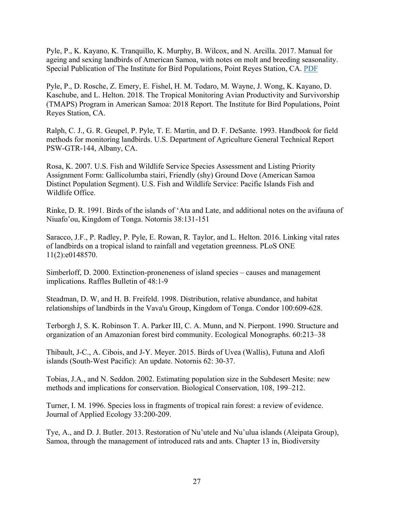Pyle, P., K. Kayano, K. Tranquillo, K. Murphy, B. Wilcox, and N. Arcilla. 2017. Manual for ageing and sexing landbirds of American Samoa, with notes on molt and breeding seasonality. Special Publication of The Institute for Bird Populations, Point Reyes Station, CA. PDF

Pyle, P., D. Rosche, Z. Emery, E. Fishel, H. M. Todaro, M. Wayne, J. Wong, K. Kayano, D. Kaschube, and L. Helton. 2018. The Tropical Monitoring Avian Productivity and Survivorship (TMAPS) Program in American Samoa: 2018 Report. The Institute for Bird Populations, Point Reyes Station, CA.

Ralph, C. J., G. R. Geupel, P. Pyle, T. E. Martin, and D. F. DeSante. 1993. Handbook for field methods for monitoring landbirds. U.S. Department of Agriculture General Technical Report PSW-GTR-144, Albany, CA.

Rosa, K. 2007. U.S. Fish and Wildlife Service Species Assessment and Listing Priority Assignment Form: Gallicolumba stairi, Friendly (shy) Ground Dove (American Samoa Distinct Population Segment). U.S. Fish and Wildlife Service: Pacific Islands Fish and Wildlife Office.

Rinke, D. R. 1991. Birds of the islands of 'Ata and Late, and additional notes on the avifauna of Niuafo'ou, Kingdom of Tonga. Notornis 38:131-151

Saracco, J.F., P. Radley, P. Pyle, E. Rowan, R. Taylor, and L. Helton. 2016. Linking vital rates of landbirds on a tropical island to rainfall and vegetation greenness. PLoS ONE 11(2):e0148570.

Simberloff, D. 2000. Extinction-proneneness of island species – causes and management implications. Raffles Bulletin of 48:1-9

Steadman, D. W, and H. B. Freifeld. 1998. Distribution, relative abundance, and habitat relationships of landbirds in the Vava'u Group, Kingdom of Tonga. Condor 100:609-628.

Terborgh J, S. K. Robinson T. A. Parker III, C. A. Munn, and N. Pierpont. 1990. Structure and organization of an Amazonian forest bird community. Ecological Monographs. 60:213–38

Thibault, J-C., A. Cibois, and J-Y. Meyer. 2015. Birds of Uvea (Wallis), Futuna and Alofi islands (South-West Pacific): An update. Notornis 62: 30-37.

Tobias, J.A., and N. Seddon. 2002. Estimating population size in the Subdesert Mesite: new methods and implications for conservation. Biological Conservation, 108, 199–212.

Turner, I. M. 1996. Species loss in fragments of tropical rain forest: a review of evidence. Journal of Applied Ecology 33:200-209.

Tye, A., and D. J. Butler. 2013. Restoration of Nu'utele and Nu'ulua islands (Aleipata Group), Samoa, through the management of introduced rats and ants. Chapter 13 in, Biodiversity